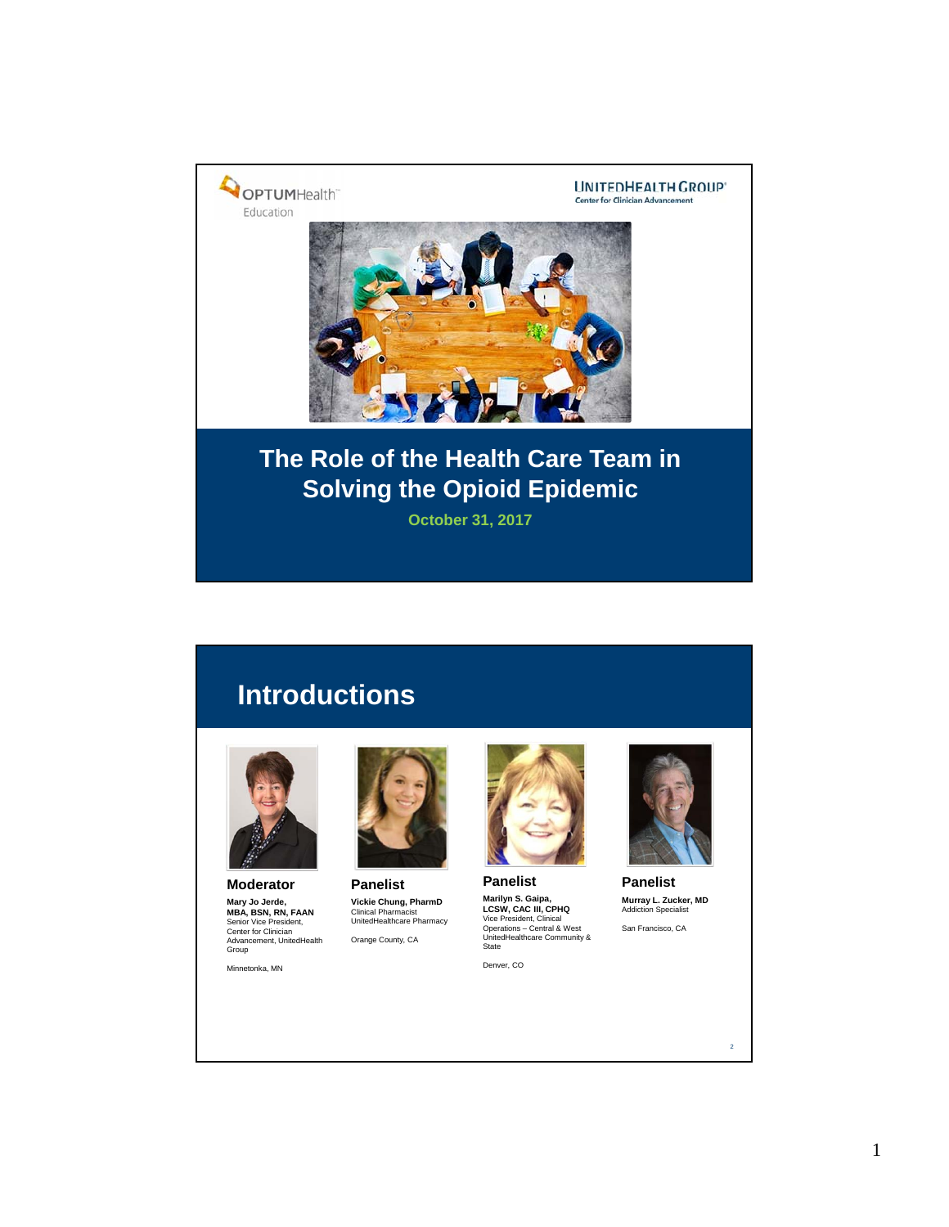

# **Introductions**



**Moderator Mary Jo Jerde,<br><b>MBA, BSN, RN, FAAN**<br>Senior Vice President,<br>Center for Clinician<br>Advancement, UnitedHealth<br>Group

Minnetonka, MN



**Panelist Vickie Chung, PharmD** Clinical Pharmacist UnitedHealthcare Pharmacy Orange County, CA

Denver, CO

**Panelist**

**Marilyn S. Gaipa,<br><b>LCSW, CAC III, CPHQ**<br>Vice President, Clinical<br>Operations – Central & West<br>UnitedHealthcare Community &<br>State



**Panelist Murray L. Zucker, MD** Addiction Specialist

San Francisco, CA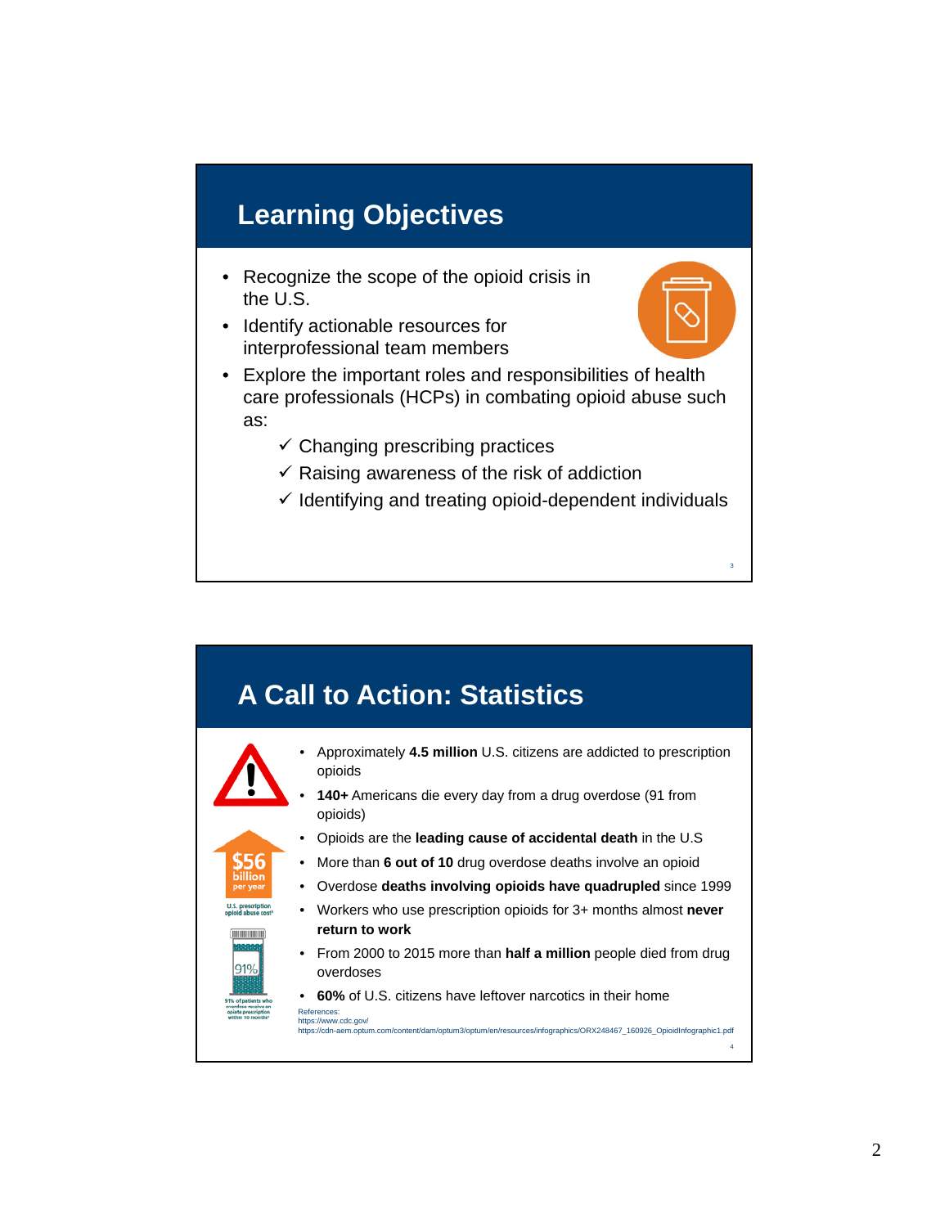# **Learning Objectives**

- Recognize the scope of the opioid crisis in the U.S.
- Identify actionable resources for interprofessional team members
- Explore the important roles and responsibilities of health care professionals (HCPs) in combating opioid abuse such as:
	- $\checkmark$  Changing prescribing practices
	- $\checkmark$  Raising awareness of the risk of addiction
	- $\checkmark$  Identifying and treating opioid-dependent individuals

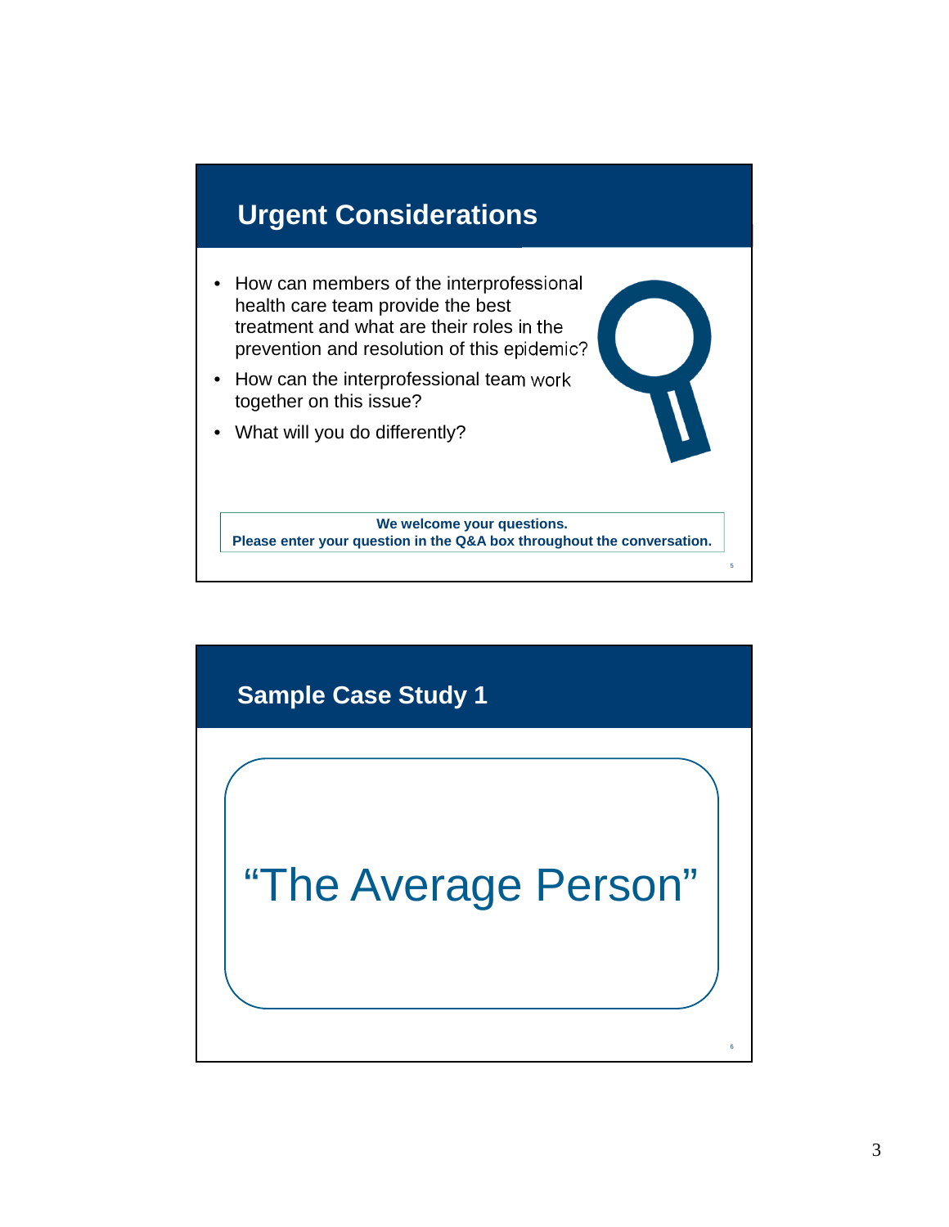

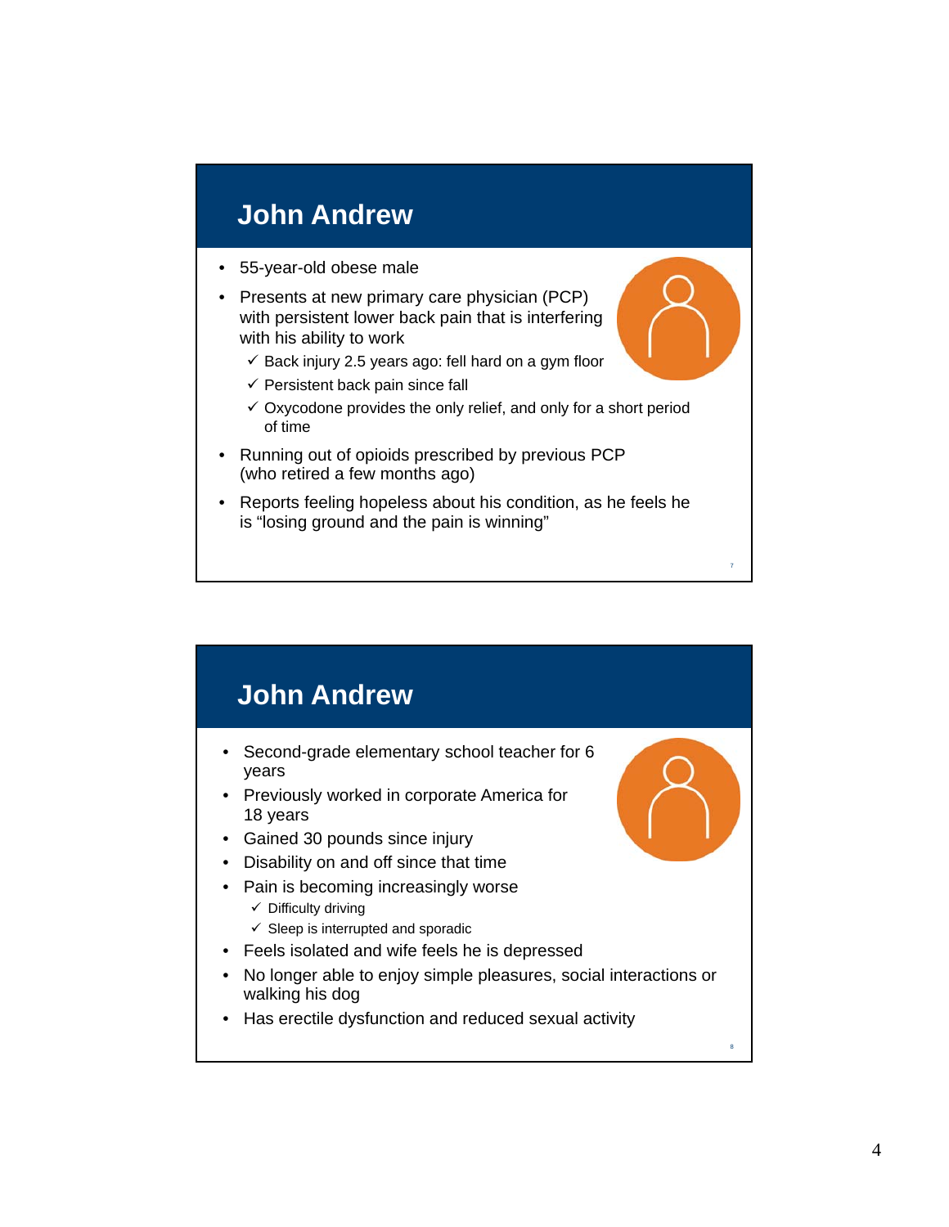# **John Andrew**

- 55-year-old obese male
- Presents at new primary care physician (PCP) with persistent lower back pain that is interfering with his ability to work
	- $\checkmark$  Back injury 2.5 years ago: fell hard on a gym floor
	- $\checkmark$  Persistent back pain since fall
	- $\checkmark$  Oxycodone provides the only relief, and only for a short period of time
- Running out of opioids prescribed by previous PCP (who retired a few months ago)
- Reports feeling hopeless about his condition, as he feels he is "losing ground and the pain is winning"

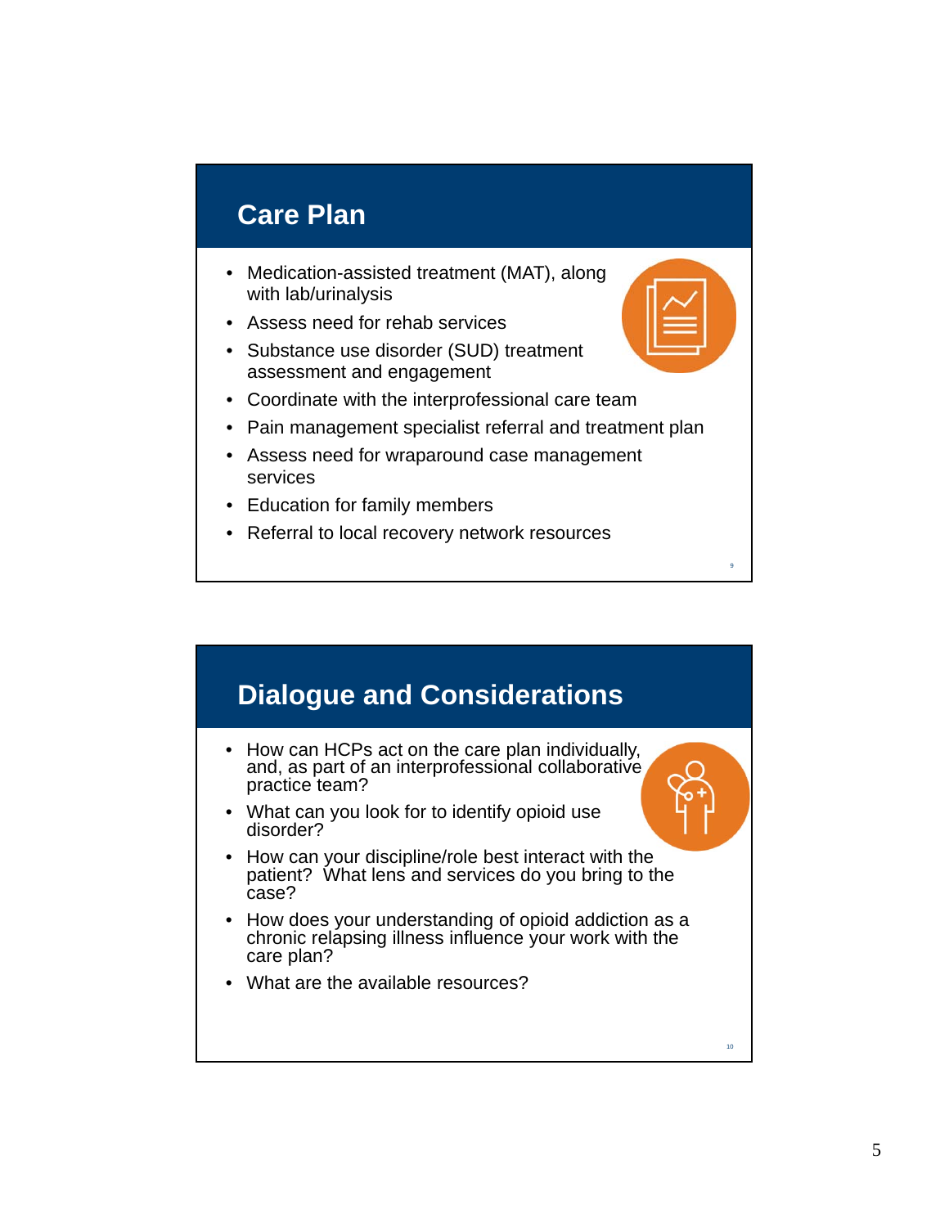#### **Care Plan**

- Medication-assisted treatment (MAT), along with lab/urinalysis
- Assess need for rehab services
- Substance use disorder (SUD) treatment assessment and engagement
- Coordinate with the interprofessional care team
- Pain management specialist referral and treatment plan
- Assess need for wraparound case management services
- Education for family members
- Referral to local recovery network resources

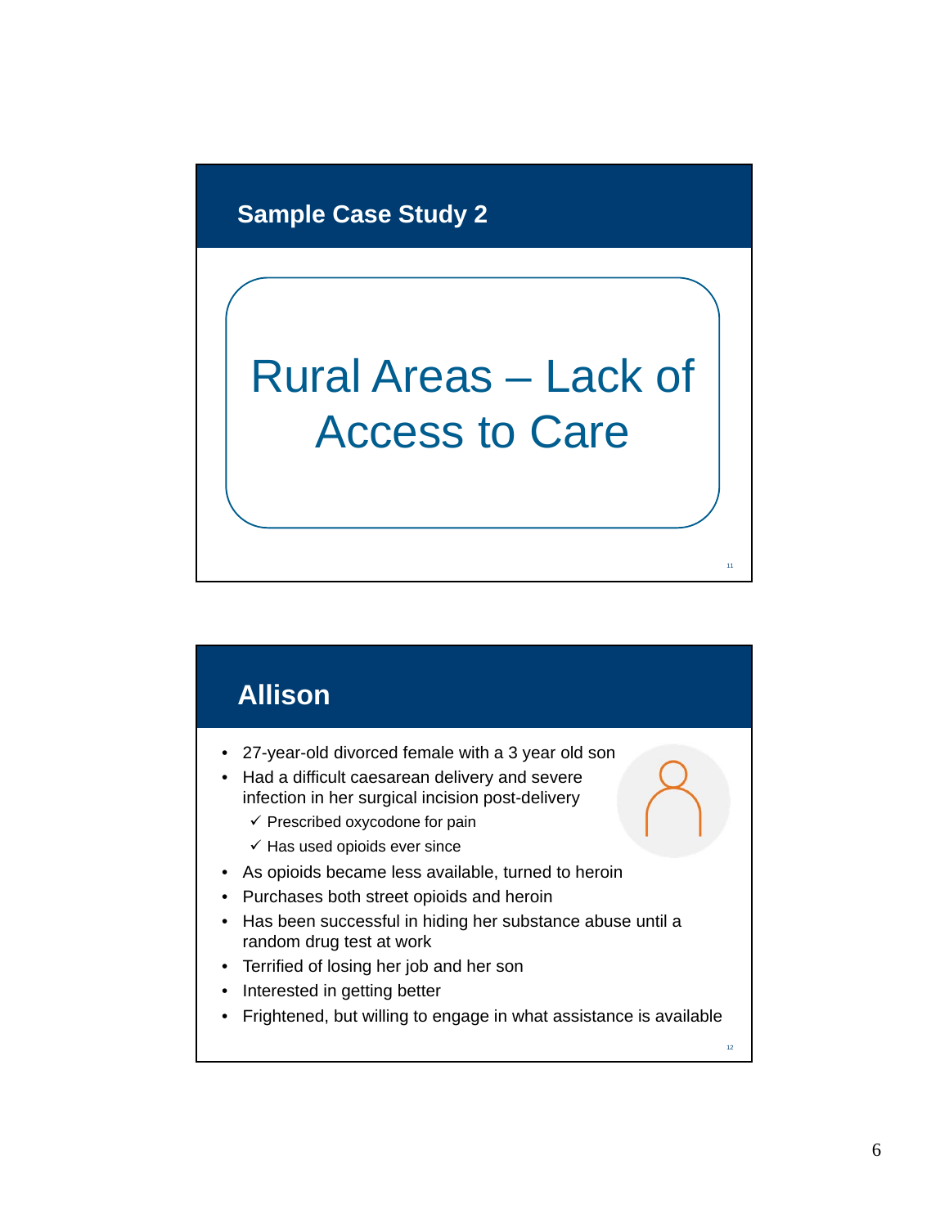#### **Sample Case Study 2**

# Rural Areas – Lack of Access to Care

# **Allison**

- 27-year-old divorced female with a 3 year old son
- Had a difficult caesarean delivery and severe infection in her surgical incision post-delivery
	- $\checkmark$  Prescribed oxycodone for pain
	- $\checkmark$  Has used opioids ever since
- As opioids became less available, turned to heroin
- Purchases both street opioids and heroin
- Has been successful in hiding her substance abuse until a random drug test at work
- Terrified of losing her job and her son
- Interested in getting better
- Frightened, but willing to engage in what assistance is available

11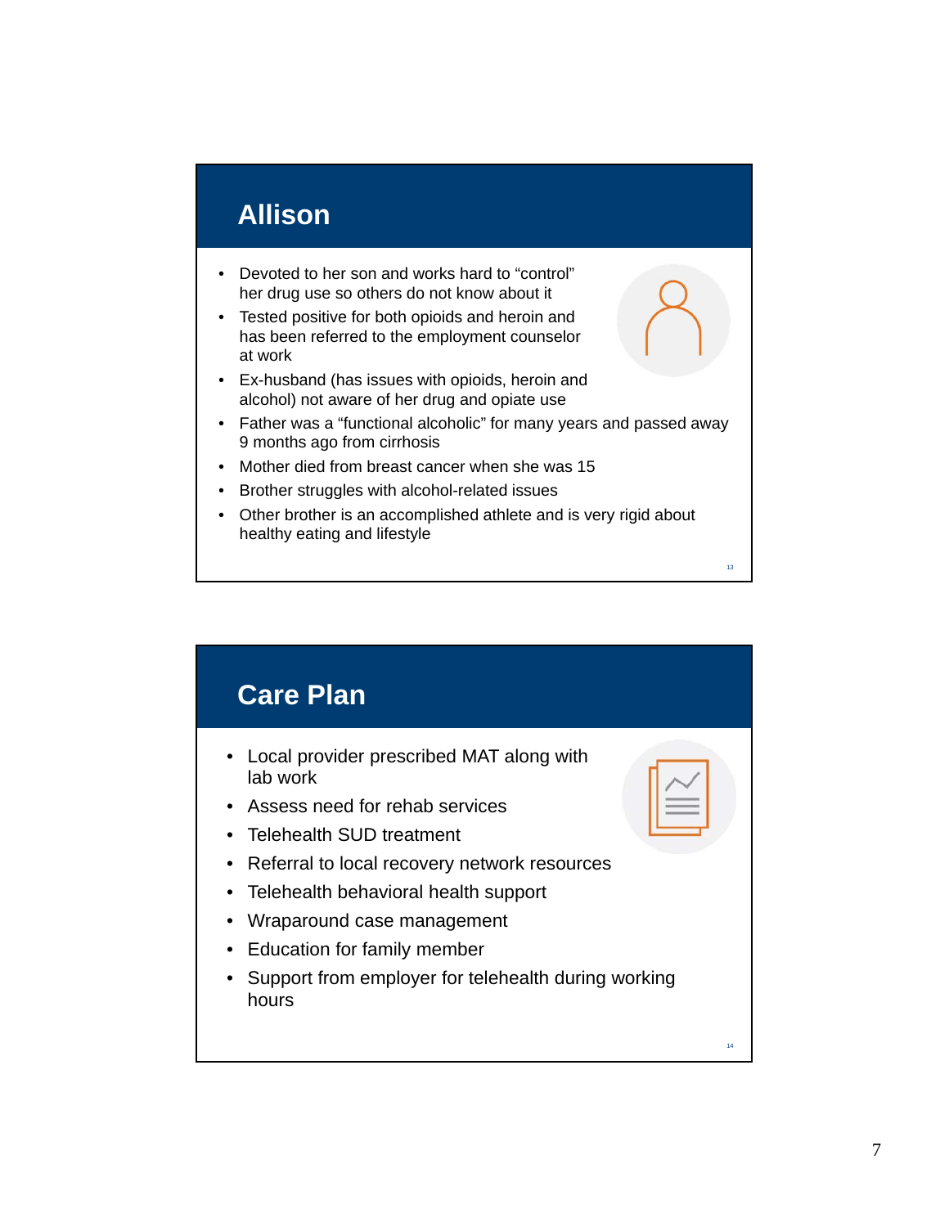## **Allison**

- Devoted to her son and works hard to "control" her drug use so others do not know about it
- Tested positive for both opioids and heroin and has been referred to the employment counselor at work
- Ex-husband (has issues with opioids, heroin and alcohol) not aware of her drug and opiate use
- Father was a "functional alcoholic" for many years and passed away 9 months ago from cirrhosis
- Mother died from breast cancer when she was 15
- Brother struggles with alcohol-related issues
- Other brother is an accomplished athlete and is very rigid about healthy eating and lifestyle

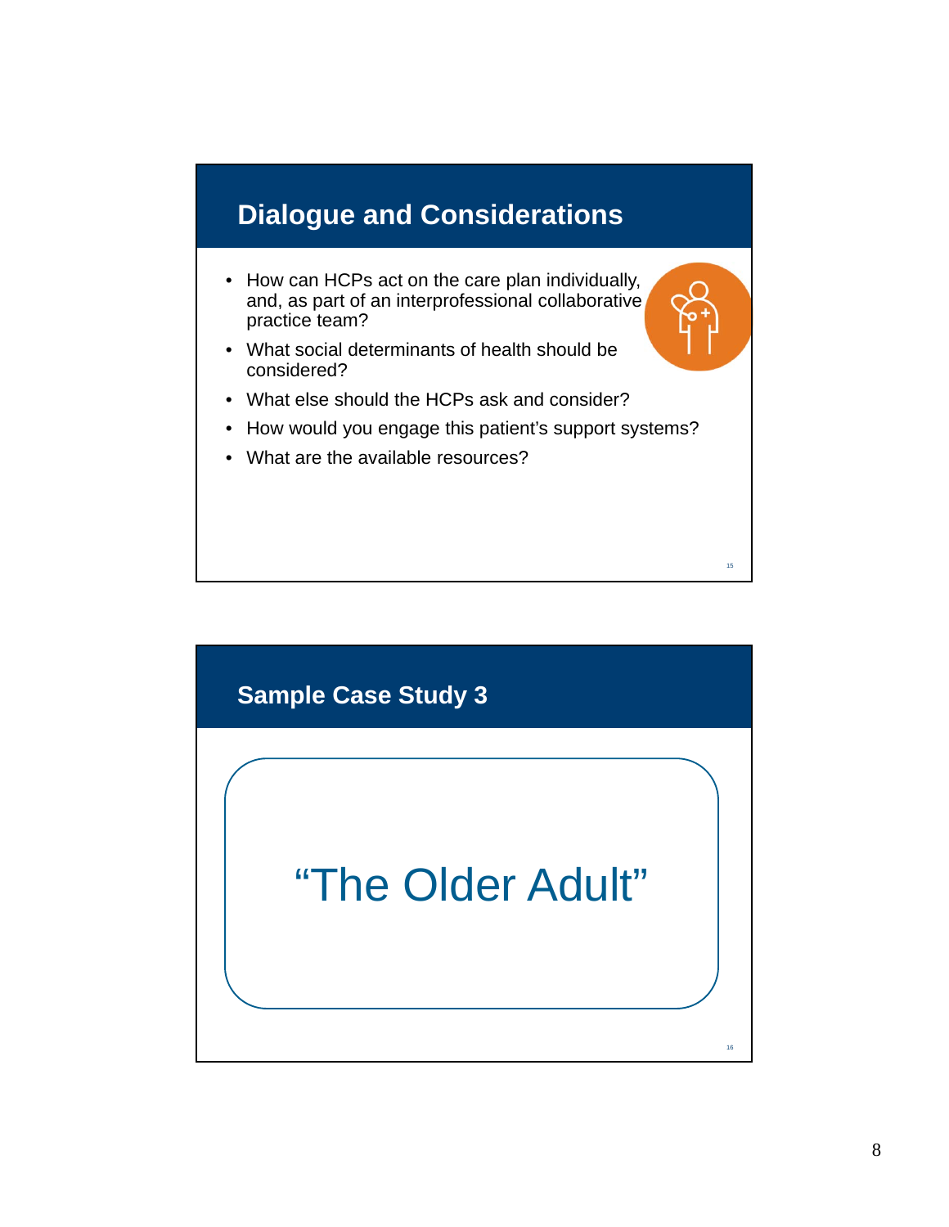# **Dialogue and Considerations**

- How can HCPs act on the care plan individually, and, as part of an interprofessional collaborative practice team?
- What social determinants of health should be considered?
- What else should the HCPs ask and consider?
- How would you engage this patient's support systems?
- What are the available resources?

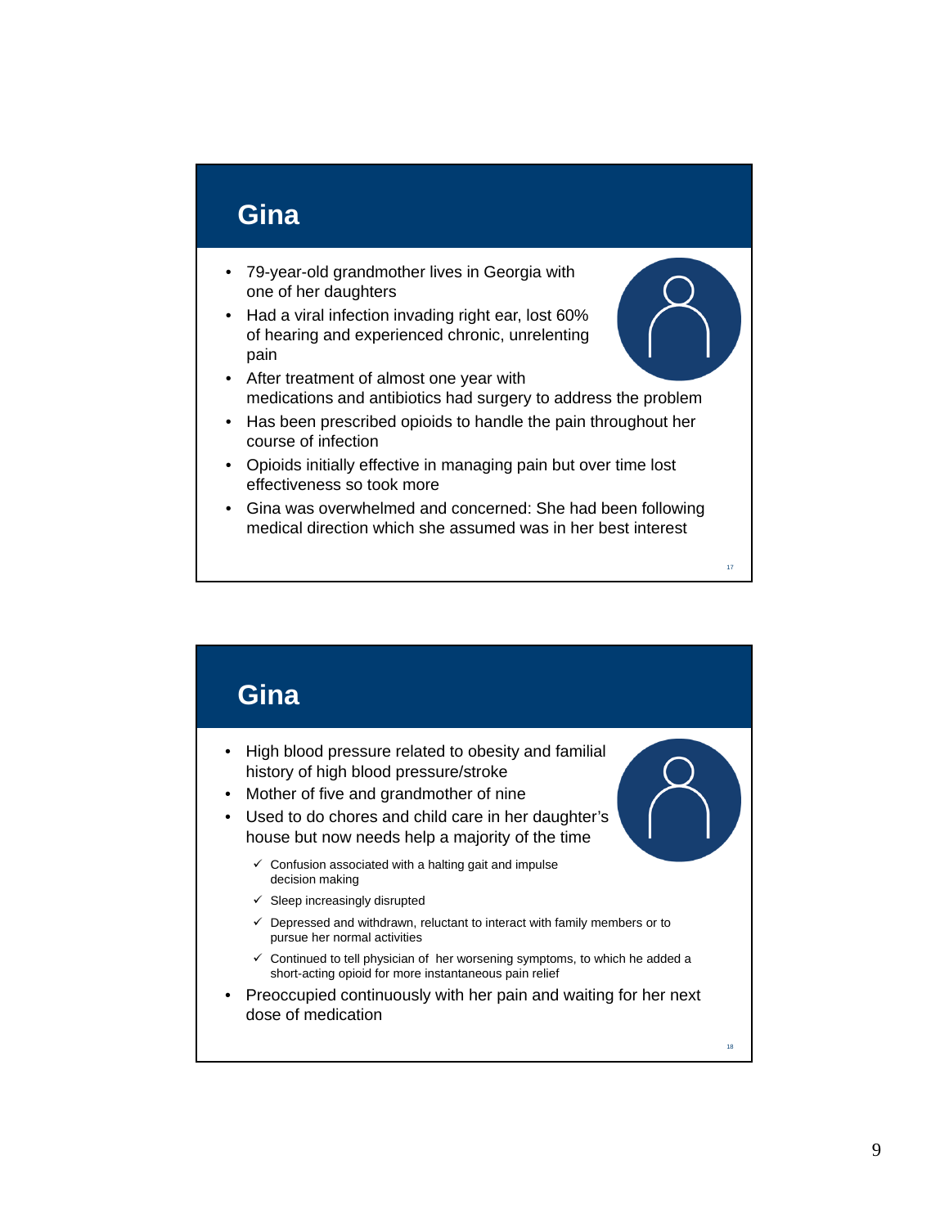#### **Gina**

- 79-year-old grandmother lives in Georgia with one of her daughters
- Had a viral infection invading right ear, lost 60% of hearing and experienced chronic, unrelenting pain
- After treatment of almost one year with medications and antibiotics had surgery to address the problem
- Has been prescribed opioids to handle the pain throughout her course of infection
- Opioids initially effective in managing pain but over time lost effectiveness so took more
- Gina was overwhelmed and concerned: She had been following medical direction which she assumed was in her best interest

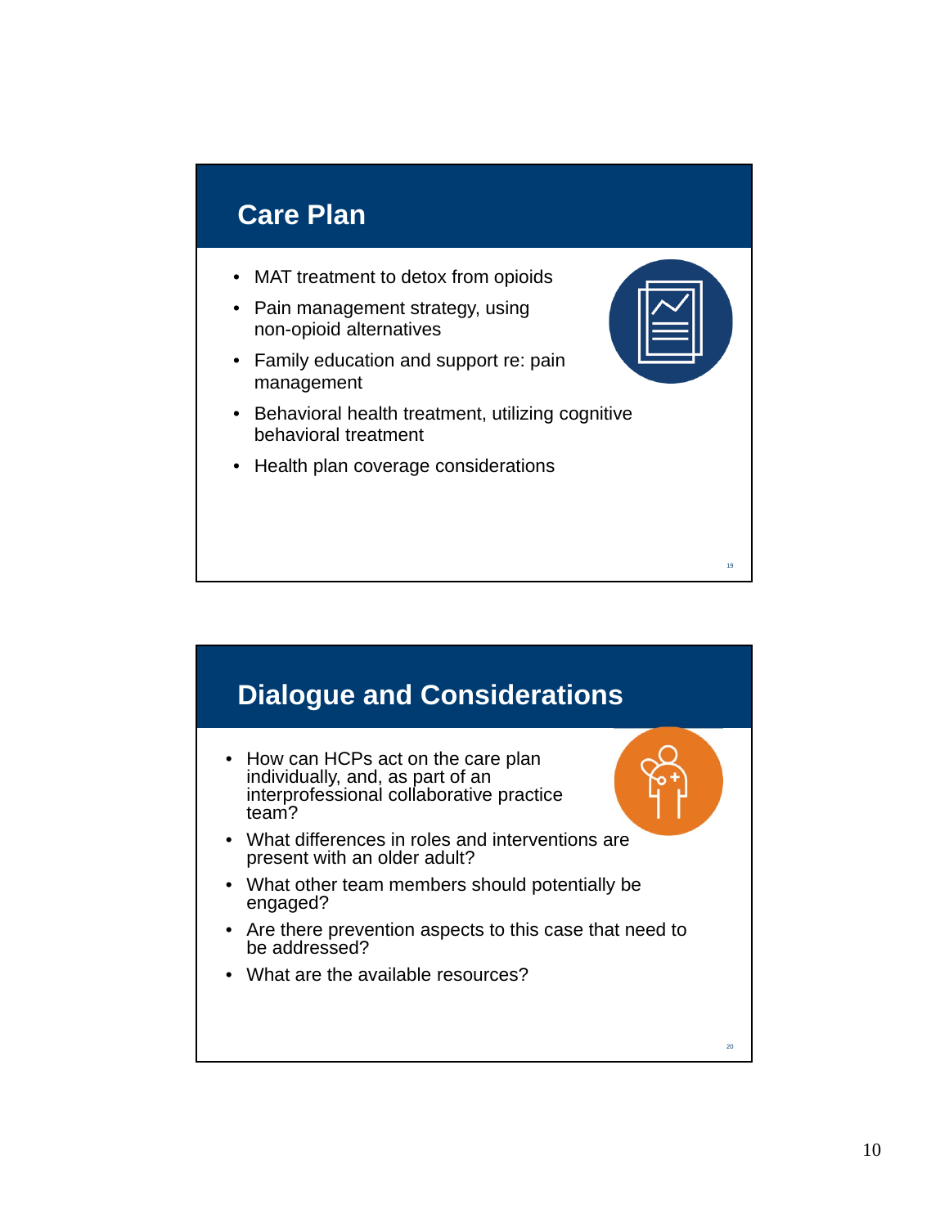### **Care Plan**

- MAT treatment to detox from opioids
- Pain management strategy, using non-opioid alternatives
- Family education and support re: pain management
- Behavioral health treatment, utilizing cognitive behavioral treatment
- Health plan coverage considerations



19

20

### **Dialogue and Considerations**

- How can HCPs act on the care plan individually, and, as part of an interprofessional collaborative practice team?
- What differences in roles and interventions are present with an older adult?
- What other team members should potentially be engaged?
- Are there prevention aspects to this case that need to be addressed?
- What are the available resources?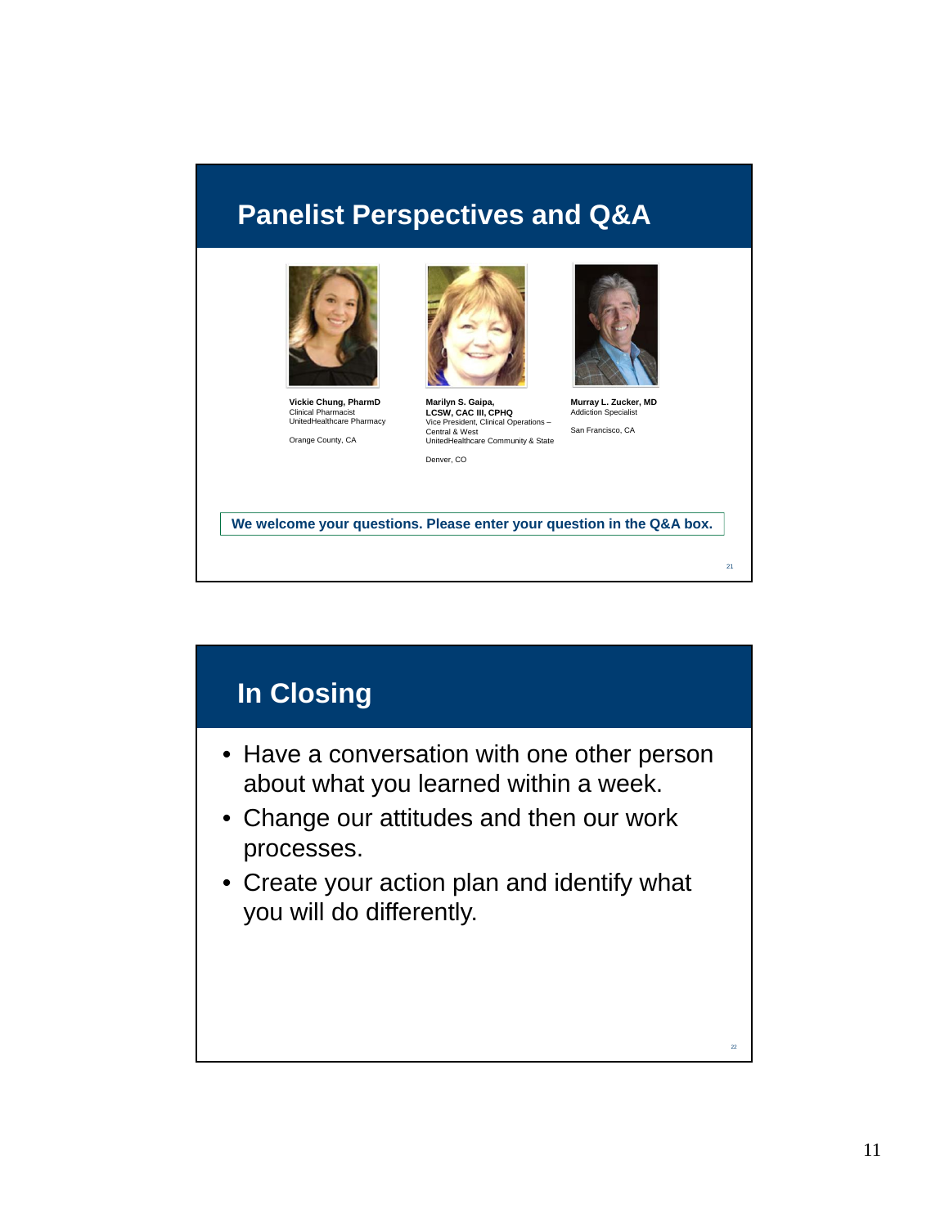#### **Panelist Perspectives and Q&A**



**Vickie Chung, PharmD** Clinical Pharmacist UnitedHealthcare Pharmacy Orange County, CA



**Marilyn S. Gaipa, LCSW, CAC III, CPHQ** Vice President, Clinical Operations – Central & West UnitedHealthcare Community & State Denver, CO



**Murray L. Zucker, MD** Addiction Specialist San Francisco, CA

21

**We welcome your questions. Please enter your question in the Q&A box.**